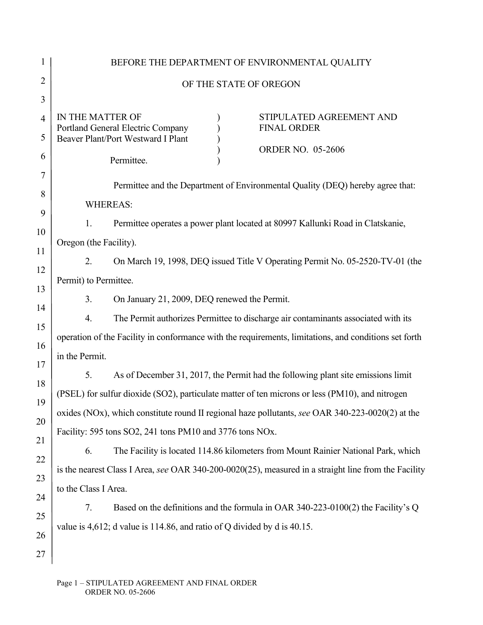| 1              |                                                                                                   |  | BEFORE THE DEPARTMENT OF ENVIRONMENTAL QUALITY                                                        |  |  |
|----------------|---------------------------------------------------------------------------------------------------|--|-------------------------------------------------------------------------------------------------------|--|--|
| $\overline{2}$ | OF THE STATE OF OREGON                                                                            |  |                                                                                                       |  |  |
| 3              |                                                                                                   |  |                                                                                                       |  |  |
| $\overline{4}$ | IN THE MATTER OF<br>Portland General Electric Company                                             |  | STIPULATED AGREEMENT AND<br><b>FINAL ORDER</b>                                                        |  |  |
| 5              | <b>Beaver Plant/Port Westward I Plant</b>                                                         |  |                                                                                                       |  |  |
| 6              | Permittee.                                                                                        |  | <b>ORDER NO. 05-2606</b>                                                                              |  |  |
| 7              |                                                                                                   |  |                                                                                                       |  |  |
| 8              | Permittee and the Department of Environmental Quality (DEQ) hereby agree that:<br><b>WHEREAS:</b> |  |                                                                                                       |  |  |
| 9              |                                                                                                   |  |                                                                                                       |  |  |
| 10             | Permittee operates a power plant located at 80997 Kallunki Road in Clatskanie,<br>1.              |  |                                                                                                       |  |  |
| 11             | Oregon (the Facility).                                                                            |  |                                                                                                       |  |  |
| 12             | 2.                                                                                                |  | On March 19, 1998, DEQ issued Title V Operating Permit No. 05-2520-TV-01 (the                         |  |  |
| 13             | Permit) to Permittee.                                                                             |  |                                                                                                       |  |  |
| 14             | 3.<br>On January 21, 2009, DEQ renewed the Permit.                                                |  |                                                                                                       |  |  |
| 15             | 4.                                                                                                |  | The Permit authorizes Permittee to discharge air contaminants associated with its                     |  |  |
| 16             |                                                                                                   |  | operation of the Facility in conformance with the requirements, limitations, and conditions set forth |  |  |
| 17             | in the Permit.                                                                                    |  |                                                                                                       |  |  |
| 18             | 5.                                                                                                |  | As of December 31, 2017, the Permit had the following plant site emissions limit                      |  |  |
| 19             | (PSEL) for sulfur dioxide (SO2), particulate matter of ten microns or less (PM10), and nitrogen   |  |                                                                                                       |  |  |
| 20             | oxides (NOx), which constitute round II regional haze pollutants, see OAR 340-223-0020(2) at the  |  |                                                                                                       |  |  |
| 21             | Facility: 595 tons SO2, 241 tons PM10 and 3776 tons NOx.                                          |  |                                                                                                       |  |  |
| 22             | 6.                                                                                                |  | The Facility is located 114.86 kilometers from Mount Rainier National Park, which                     |  |  |
| 23             |                                                                                                   |  | is the nearest Class I Area, see OAR 340-200-0020(25), measured in a straight line from the Facility  |  |  |
| 24             | to the Class I Area.                                                                              |  |                                                                                                       |  |  |
| 25             | 7.                                                                                                |  | Based on the definitions and the formula in OAR 340-223-0100(2) the Facility's Q                      |  |  |
| 26             | value is 4,612; d value is 114.86, and ratio of Q divided by d is 40.15.                          |  |                                                                                                       |  |  |
| 27             |                                                                                                   |  |                                                                                                       |  |  |
|                |                                                                                                   |  |                                                                                                       |  |  |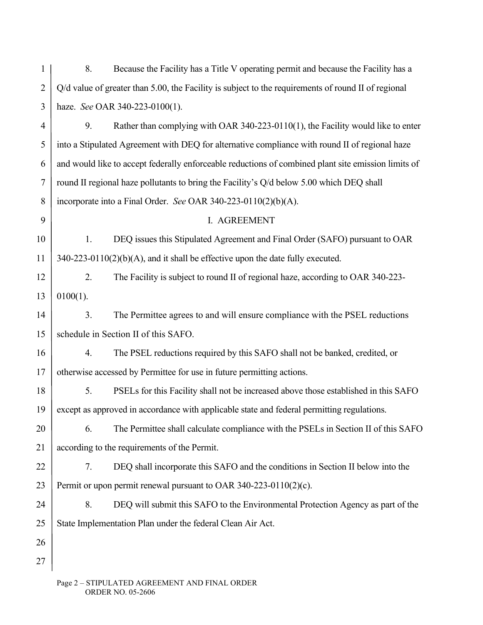| 1              | 8.                                                                                                  | Because the Facility has a Title V operating permit and because the Facility has a             |  |
|----------------|-----------------------------------------------------------------------------------------------------|------------------------------------------------------------------------------------------------|--|
| $\overline{2}$ | Q/d value of greater than 5.00, the Facility is subject to the requirements of round II of regional |                                                                                                |  |
| 3              | haze. See OAR 340-223-0100(1).                                                                      |                                                                                                |  |
| $\overline{4}$ | 9.                                                                                                  | Rather than complying with OAR 340-223-0110(1), the Facility would like to enter               |  |
| 5              |                                                                                                     | into a Stipulated Agreement with DEQ for alternative compliance with round II of regional haze |  |
| 6              | and would like to accept federally enforceable reductions of combined plant site emission limits of |                                                                                                |  |
| $\tau$         | round II regional haze pollutants to bring the Facility's Q/d below 5.00 which DEQ shall            |                                                                                                |  |
| 8              | incorporate into a Final Order. See OAR 340-223-0110(2)(b)(A).                                      |                                                                                                |  |
| 9              |                                                                                                     | I. AGREEMENT                                                                                   |  |
| 10             | 1.                                                                                                  | DEQ issues this Stipulated Agreement and Final Order (SAFO) pursuant to OAR                    |  |
| 11             |                                                                                                     | $340-223-0110(2)(b)(A)$ , and it shall be effective upon the date fully executed.              |  |
| 12             | 2.                                                                                                  | The Facility is subject to round II of regional haze, according to OAR 340-223-                |  |
| 13             | $0100(1)$ .                                                                                         |                                                                                                |  |
| 14             | 3.                                                                                                  | The Permittee agrees to and will ensure compliance with the PSEL reductions                    |  |
| 15             | schedule in Section II of this SAFO.                                                                |                                                                                                |  |
| 16             | 4.                                                                                                  | The PSEL reductions required by this SAFO shall not be banked, credited, or                    |  |
| 17             |                                                                                                     | otherwise accessed by Permittee for use in future permitting actions.                          |  |
| 18             | 5.                                                                                                  | PSELs for this Facility shall not be increased above those established in this SAFO            |  |
| 19             |                                                                                                     | except as approved in accordance with applicable state and federal permitting regulations.     |  |
| 20             | 6.                                                                                                  | The Permittee shall calculate compliance with the PSELs in Section II of this SAFO             |  |
| 21             | according to the requirements of the Permit.                                                        |                                                                                                |  |
| 22             | 7.                                                                                                  | DEQ shall incorporate this SAFO and the conditions in Section II below into the                |  |
| 23             |                                                                                                     | Permit or upon permit renewal pursuant to OAR 340-223-0110(2)(c).                              |  |
| 24             | 8.                                                                                                  | DEQ will submit this SAFO to the Environmental Protection Agency as part of the                |  |
| 25             | State Implementation Plan under the federal Clean Air Act.                                          |                                                                                                |  |
| 26             |                                                                                                     |                                                                                                |  |
| 27             |                                                                                                     |                                                                                                |  |
|                |                                                                                                     |                                                                                                |  |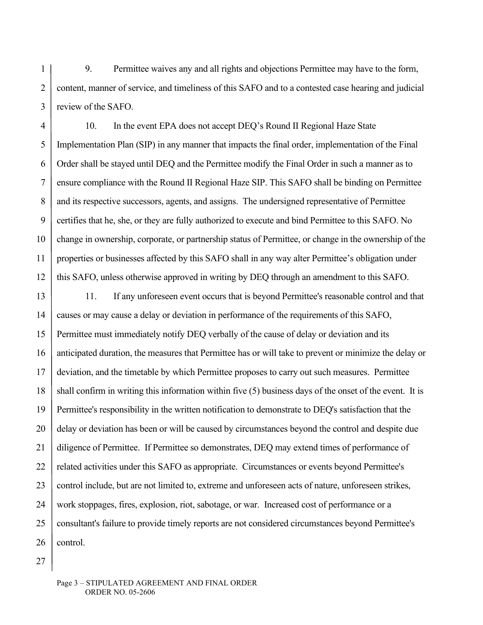1 2 3 9. Permittee waives any and all rights and objections Permittee may have to the form, content, manner of service, and timeliness of this SAFO and to a contested case hearing and judicial review of the SAFO.

4 5 6 7 8 9 10 11 12 10. In the event EPA does not accept DEQ's Round II Regional Haze State Implementation Plan (SIP) in any manner that impacts the final order, implementation of the Final Order shall be stayed until DEQ and the Permittee modify the Final Order in such a manner as to ensure compliance with the Round II Regional Haze SIP. This SAFO shall be binding on Permittee and its respective successors, agents, and assigns. The undersigned representative of Permittee certifies that he, she, or they are fully authorized to execute and bind Permittee to this SAFO. No change in ownership, corporate, or partnership status of Permittee, or change in the ownership of the properties or businesses affected by this SAFO shall in any way alter Permittee's obligation under this SAFO, unless otherwise approved in writing by DEQ through an amendment to this SAFO.

13 14 15 16 17 18 19 20 21 22 23 24 25 26 11. If any unforeseen event occurs that is beyond Permittee's reasonable control and that causes or may cause a delay or deviation in performance of the requirements of this SAFO, Permittee must immediately notify DEQ verbally of the cause of delay or deviation and its anticipated duration, the measures that Permittee has or will take to prevent or minimize the delay or deviation, and the timetable by which Permittee proposes to carry out such measures. Permittee shall confirm in writing this information within five (5) business days of the onset of the event. It is Permittee's responsibility in the written notification to demonstrate to DEQ's satisfaction that the delay or deviation has been or will be caused by circumstances beyond the control and despite due diligence of Permittee. If Permittee so demonstrates, DEQ may extend times of performance of related activities under this SAFO as appropriate. Circumstances or events beyond Permittee's control include, but are not limited to, extreme and unforeseen acts of nature, unforeseen strikes, work stoppages, fires, explosion, riot, sabotage, or war. Increased cost of performance or a consultant's failure to provide timely reports are not considered circumstances beyond Permittee's control.

27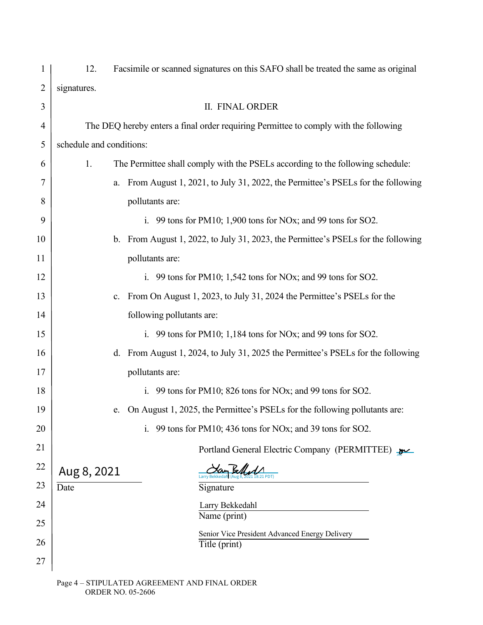| 1              | 12.                      | Facsimile or scanned signatures on this SAFO shall be treated the same as original        |
|----------------|--------------------------|-------------------------------------------------------------------------------------------|
| $\overline{2}$ | signatures.              |                                                                                           |
| 3              |                          | <b>II. FINAL ORDER</b>                                                                    |
| $\overline{4}$ |                          | The DEQ hereby enters a final order requiring Permittee to comply with the following      |
| 5              | schedule and conditions: |                                                                                           |
| 6              | 1.                       | The Permittee shall comply with the PSELs according to the following schedule:            |
| 7              |                          | From August 1, 2021, to July 31, 2022, the Permittee's PSELs for the following<br>a.      |
| 8              |                          | pollutants are:                                                                           |
| 9              |                          | i. 99 tons for PM10; 1,900 tons for NO <sub>x</sub> ; and 99 tons for SO2.                |
| 10             |                          | b. From August 1, 2022, to July 31, 2023, the Permittee's PSELs for the following         |
| 11             |                          | pollutants are:                                                                           |
| 12             |                          | i. 99 tons for PM10; 1,542 tons for NOx; and 99 tons for SO2.                             |
| 13             |                          | c. From On August 1, 2023, to July 31, 2024 the Permittee's PSELs for the                 |
| 14             |                          | following pollutants are:                                                                 |
| 15             |                          | i. 99 tons for PM10; $1,184$ tons for NO <sub>x</sub> ; and 99 tons for SO <sub>2</sub> . |
| 16             |                          | d. From August 1, 2024, to July 31, 2025 the Permittee's PSELs for the following          |
| 17             |                          | pollutants are:                                                                           |
| 18             |                          | i. 99 tons for PM10; 826 tons for NOx; and 99 tons for SO2.                               |
| 19             |                          | On August 1, 2025, the Permittee's PSELs for the following pollutants are:<br>e.          |
| 20             |                          | 99 tons for PM10; 436 tons for NOx; and 39 tons for SO2.                                  |
| 21             |                          | Portland General Electric Company (PERMITTEE)                                             |
| 22             | Aug 8, 2021              |                                                                                           |
| 23             | Date                     | Signature                                                                                 |
| 24             |                          | Larry Bekkedahl                                                                           |
| 25             |                          | Name (print)<br>Senior Vice President Advanced Energy Delivery                            |
| 26             |                          | Title (print)                                                                             |
| 27             |                          |                                                                                           |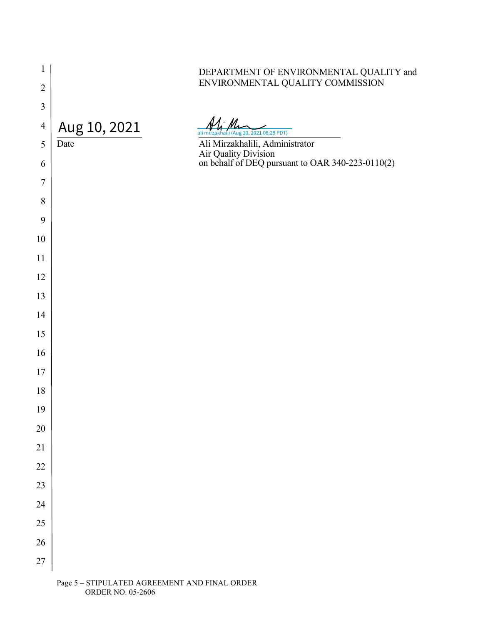| $\mathbf{1}$   |              | DEPARTMENT OF ENVIRONMENTAL QUALITY and                                     |
|----------------|--------------|-----------------------------------------------------------------------------|
| $\overline{2}$ |              | ENVIRONMENTAL QUALITY COMMISSION                                            |
| $\mathfrak{Z}$ |              |                                                                             |
| $\overline{4}$ | Aug 10, 2021 |                                                                             |
| 5              | Date         | ali mirzakhalli (Aug 10, 2021 08:28 PDT)<br>Ali Mirzakhalili, Administrator |
| 6              |              | Air Quality Division<br>on behalf of DEQ pursuant to OAR 340-223-0110(2)    |
| $\tau$         |              |                                                                             |
| 8              |              |                                                                             |
| 9              |              |                                                                             |
| 10             |              |                                                                             |
| 11             |              |                                                                             |
| 12             |              |                                                                             |
| 13             |              |                                                                             |
| 14             |              |                                                                             |
| 15             |              |                                                                             |
| 16             |              |                                                                             |
| 17             |              |                                                                             |
| 18             |              |                                                                             |
| 19             |              |                                                                             |
| $20\,$         |              |                                                                             |
| 21             |              |                                                                             |
| $22\,$         |              |                                                                             |
| 23             |              |                                                                             |
| 24             |              |                                                                             |
| $25\,$         |              |                                                                             |
| $26\,$         |              |                                                                             |
| $27\,$         |              |                                                                             |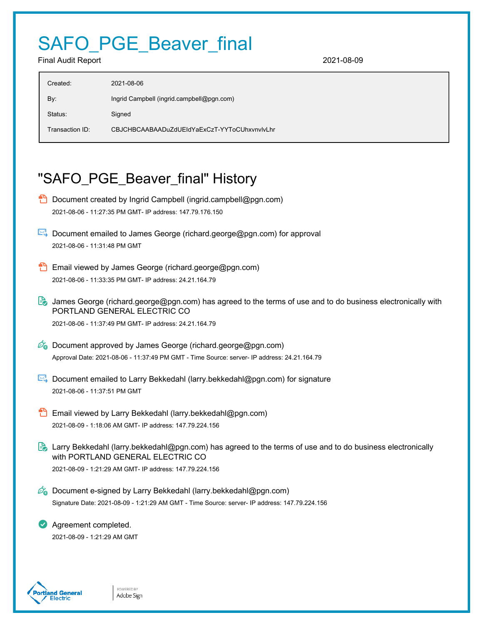## SAFO\_PGE\_Beaver\_final

Final Audit Report 2021-08-09

| Created:        | 2021-08-06                                   |
|-----------------|----------------------------------------------|
| By:             | Ingrid Campbell (ingrid.campbell@pgn.com)    |
| Status:         | Signed                                       |
| Transaction ID: | CBJCHBCAABAADuZdUEIdYaExCzT-YYToCUhxynvlvLhr |
|                 |                                              |

## "SAFO\_PGE\_Beaver\_final" History

- **D** Document created by Ingrid Campbell (ingrid.campbell@pgn.com) 2021-08-06 - 11:27:35 PM GMT- IP address: 147.79.176.150
- Document emailed to James George (richard.george@pgn.com) for approval 2021-08-06 - 11:31:48 PM GMT
- Email viewed by James George (richard.george@pgn.com) 2021-08-06 - 11:33:35 PM GMT- IP address: 24.21.164.79
- **B** James George (richard.george@pgn.com) has agreed to the terms of use and to do business electronically with PORTLAND GENERAL ELECTRIC CO 2021-08-06 - 11:37:49 PM GMT- IP address: 24.21.164.79
- $\mathscr{O}_\bullet$  Document approved by James George (richard.george@pgn.com) Approval Date: 2021-08-06 - 11:37:49 PM GMT - Time Source: server- IP address: 24.21.164.79
- Document emailed to Larry Bekkedahl (larry.bekkedahl@pgn.com) for signature 2021-08-06 - 11:37:51 PM GMT
- Email viewed by Larry Bekkedahl (larry.bekkedahl@pgn.com) 2021-08-09 - 1:18:06 AM GMT- IP address: 147.79.224.156
- Larry Bekkedahl (larry.bekkedahl@pgn.com) has agreed to the terms of use and to do business electronically with PORTLAND GENERAL ELECTRIC CO 2021-08-09 - 1:21:29 AM GMT- IP address: 147.79.224.156
- $\mathscr{O}_0$  Document e-signed by Larry Bekkedahl (larry.bekkedahl@pgn.com) Signature Date: 2021-08-09 - 1:21:29 AM GMT - Time Source: server- IP address: 147.79.224.156

**Agreement completed.** 2021-08-09 - 1:21:29 AM GMT



POWERED BY Adobe Sign